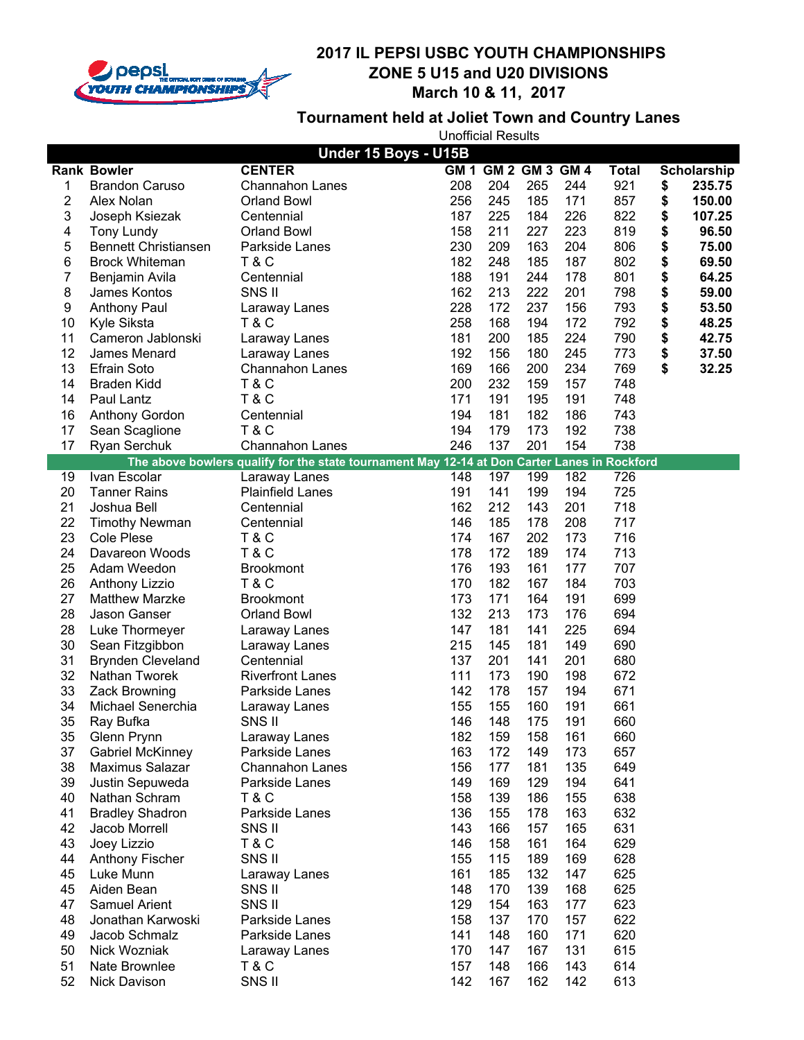

# **Tournament held at Joliet Town and Country Lanes**

| Under 15 Boys - U15B |                               |                                                                                              |            |                     |            |            |              |              |
|----------------------|-------------------------------|----------------------------------------------------------------------------------------------|------------|---------------------|------------|------------|--------------|--------------|
|                      | <b>Rank Bowler</b>            | <b>CENTER</b>                                                                                |            | GM 1 GM 2 GM 3 GM 4 |            |            | <b>Total</b> | Scholarship  |
| 1                    | <b>Brandon Caruso</b>         | <b>Channahon Lanes</b>                                                                       | 208        | 204                 | 265        | 244        | 921          | \$<br>235.75 |
| 2                    | Alex Nolan                    | Orland Bowl                                                                                  | 256        | 245                 | 185        | 171        | 857          | \$<br>150.00 |
| 3                    | Joseph Ksiezak                | Centennial                                                                                   | 187        | 225                 | 184        | 226        | 822          | \$<br>107.25 |
| 4                    | <b>Tony Lundy</b>             | <b>Orland Bowl</b>                                                                           | 158        | 211                 | 227        | 223        | 819          | \$<br>96.50  |
| 5                    | <b>Bennett Christiansen</b>   | Parkside Lanes                                                                               | 230        | 209                 | 163        | 204        | 806          | \$<br>75.00  |
| 6                    | <b>Brock Whiteman</b>         | <b>T&amp;C</b>                                                                               | 182        | 248                 | 185        | 187        | 802          | \$<br>69.50  |
| 7                    | Benjamin Avila                | Centennial                                                                                   | 188        | 191                 | 244        | 178        | 801          | \$<br>64.25  |
| 8                    | James Kontos                  | SNS II                                                                                       | 162        | 213                 | 222        | 201        | 798          | \$<br>59.00  |
| 9                    | <b>Anthony Paul</b>           | Laraway Lanes                                                                                | 228        | 172                 | 237        | 156        | 793          | \$<br>53.50  |
| 10                   | Kyle Siksta                   | T & C                                                                                        | 258        | 168                 | 194        | 172        | 792          | \$<br>48.25  |
| 11                   | Cameron Jablonski             | Laraway Lanes                                                                                | 181        | 200                 | 185        | 224        | 790          | \$<br>42.75  |
| 12                   | James Menard                  | Laraway Lanes                                                                                | 192        | 156                 | 180        | 245        | 773          | \$<br>37.50  |
| 13                   | <b>Efrain Soto</b>            | <b>Channahon Lanes</b>                                                                       | 169        | 166                 | 200        | 234        | 769          | \$<br>32.25  |
| 14                   | <b>Braden Kidd</b>            | T&C                                                                                          | 200        | 232                 | 159        | 157        | 748          |              |
| 14                   | Paul Lantz                    | <b>T&amp;C</b>                                                                               | 171        | 191                 | 195        | 191        | 748          |              |
| 16                   | Anthony Gordon                | Centennial                                                                                   | 194        | 181                 | 182        | 186        | 743          |              |
| 17                   | Sean Scaglione                | <b>T&amp;C</b>                                                                               | 194        | 179                 | 173        | 192        | 738          |              |
| 17                   | Ryan Serchuk                  | Channahon Lanes                                                                              | 246        | 137                 | 201        | 154        | 738          |              |
|                      |                               | The above bowlers qualify for the state tournament May 12-14 at Don Carter Lanes in Rockford |            |                     |            |            |              |              |
| 19                   | Ivan Escolar                  | Laraway Lanes                                                                                | 148        | 197                 | 199        | 182        | 726          |              |
| 20                   | <b>Tanner Rains</b>           | <b>Plainfield Lanes</b>                                                                      | 191        | 141                 | 199        | 194        | 725          |              |
| 21                   | Joshua Bell                   | Centennial                                                                                   | 162        | 212                 | 143        | 201        | 718          |              |
| 22                   | <b>Timothy Newman</b>         | Centennial                                                                                   | 146        | 185                 | 178        | 208        | 717          |              |
| 23                   | <b>Cole Plese</b>             | <b>T&amp;C</b>                                                                               | 174        | 167                 | 202        | 173        | 716          |              |
| 24                   | Davareon Woods                | <b>T&amp;C</b>                                                                               | 178        | 172                 | 189        | 174        | 713          |              |
| 25                   | Adam Weedon                   | <b>Brookmont</b>                                                                             | 176        | 193                 | 161        | 177        | 707          |              |
| 26                   | <b>Anthony Lizzio</b>         | T & C                                                                                        | 170        | 182                 | 167        | 184        | 703          |              |
| 27                   | <b>Matthew Marzke</b>         | <b>Brookmont</b>                                                                             | 173        | 171                 | 164        | 191        | 699          |              |
| 28                   | Jason Ganser                  | <b>Orland Bowl</b>                                                                           | 132        | 213                 | 173        | 176        | 694          |              |
| 28                   | Luke Thormeyer                | Laraway Lanes                                                                                | 147        | 181                 | 141        | 225        | 694          |              |
| 30                   | Sean Fitzgibbon               | Laraway Lanes                                                                                | 215        | 145                 | 181        | 149        | 690          |              |
| 31                   | <b>Brynden Cleveland</b>      | Centennial                                                                                   | 137        | 201                 | 141        | 201        | 680          |              |
| 32                   | Nathan Tworek                 | <b>Riverfront Lanes</b>                                                                      | 111        | 173                 | 190        | 198        | 672          |              |
| 33                   | Zack Browning                 | Parkside Lanes                                                                               | 142        | 178                 | 157        | 194        | 671          |              |
| 34                   | Michael Senerchia             | Laraway Lanes                                                                                | 155        | 155                 | 160        | 191        | 661          |              |
| 35                   | Ray Bufka                     | SNS II                                                                                       | 146        | 148                 | 175        | 191        | 660          |              |
| 35                   | Glenn Prynn                   | Laraway Lanes                                                                                | 182        | 159                 | 158        | 161        | 660          |              |
| 37                   | <b>Gabriel McKinney</b>       | Parkside Lanes                                                                               | 163        | 172                 | 149        | 173        | 657          |              |
| 38                   | Maximus Salazar               | <b>Channahon Lanes</b>                                                                       | 156        | 177                 | 181        | 135        | 649          |              |
| 39                   | Justin Sepuweda               | Parkside Lanes                                                                               | 149        | 169                 | 129        | 194        | 641          |              |
| 40                   | Nathan Schram                 | <b>T&amp;C</b>                                                                               | 158        | 139                 | 186        | 155        | 638          |              |
| 41                   | <b>Bradley Shadron</b>        | Parkside Lanes                                                                               | 136        | 155                 | 178        | 163        | 632          |              |
| 42                   | Jacob Morrell                 | SNS II                                                                                       | 143        | 166                 | 157        | 165        | 631          |              |
| 43                   | Joey Lizzio                   | T & C                                                                                        | 146        | 158                 | 161        | 164        | 629          |              |
| 44                   | <b>Anthony Fischer</b>        | SNS II                                                                                       | 155        | 115                 | 189        | 169        | 628          |              |
| 45                   | Luke Munn                     | Laraway Lanes                                                                                | 161        | 185                 | 132        | 147        | 625          |              |
| 45                   | Aiden Bean                    | SNS II                                                                                       | 148        | 170                 | 139        | 168        | 625          |              |
| 47                   | Samuel Arient                 | SNS II                                                                                       | 129        | 154                 | 163        | 177        | 623          |              |
| 48                   | Jonathan Karwoski             | Parkside Lanes                                                                               | 158        | 137                 | 170        | 157        | 622          |              |
| 49                   | Jacob Schmalz                 | Parkside Lanes                                                                               | 141        | 148                 | 160        | 171        | 620          |              |
| 50<br>51             | Nick Wozniak<br>Nate Brownlee | Laraway Lanes                                                                                | 170<br>157 | 147                 | 167        | 131        | 615          |              |
| 52                   | Nick Davison                  | <b>T&amp;C</b><br>SNS II                                                                     | 142        | 148<br>167          | 166<br>162 | 143<br>142 | 614<br>613   |              |
|                      |                               |                                                                                              |            |                     |            |            |              |              |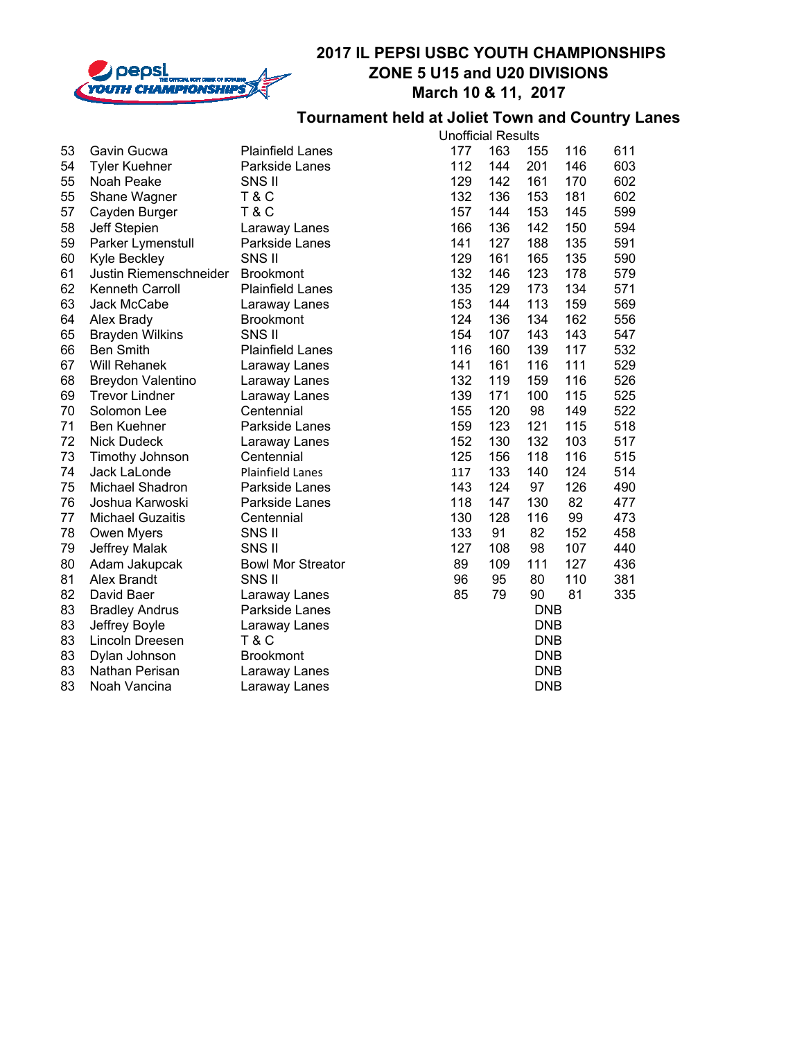

#### **Tournament held at Joliet Town and Country Lanes**

|    |                          |                          |     | <b>Unofficial Results</b> |            |     |     |  |  |  |
|----|--------------------------|--------------------------|-----|---------------------------|------------|-----|-----|--|--|--|
| 53 | Gavin Gucwa              | <b>Plainfield Lanes</b>  | 177 | 163                       | 155        | 116 | 611 |  |  |  |
| 54 | <b>Tyler Kuehner</b>     | Parkside Lanes           | 112 | 144                       | 201        | 146 | 603 |  |  |  |
| 55 | Noah Peake               | SNS II                   | 129 | 142                       | 161        | 170 | 602 |  |  |  |
| 55 | Shane Wagner             | <b>T&amp;C</b>           | 132 | 136                       | 153        | 181 | 602 |  |  |  |
| 57 | Cayden Burger            | <b>T&amp;C</b>           | 157 | 144                       | 153        | 145 | 599 |  |  |  |
| 58 | Jeff Stepien             | Laraway Lanes            | 166 | 136                       | 142        | 150 | 594 |  |  |  |
| 59 | Parker Lymenstull        | Parkside Lanes           | 141 | 127                       | 188        | 135 | 591 |  |  |  |
| 60 | <b>Kyle Beckley</b>      | SNS II                   | 129 | 161                       | 165        | 135 | 590 |  |  |  |
| 61 | Justin Riemenschneider   | <b>Brookmont</b>         | 132 | 146                       | 123        | 178 | 579 |  |  |  |
| 62 | Kenneth Carroll          | <b>Plainfield Lanes</b>  | 135 | 129                       | 173        | 134 | 571 |  |  |  |
| 63 | Jack McCabe              | Laraway Lanes            | 153 | 144                       | 113        | 159 | 569 |  |  |  |
| 64 | Alex Brady               | <b>Brookmont</b>         | 124 | 136                       | 134        | 162 | 556 |  |  |  |
| 65 | <b>Brayden Wilkins</b>   | SNS II                   | 154 | 107                       | 143        | 143 | 547 |  |  |  |
| 66 | <b>Ben Smith</b>         | <b>Plainfield Lanes</b>  | 116 | 160                       | 139        | 117 | 532 |  |  |  |
| 67 | <b>Will Rehanek</b>      | Laraway Lanes            | 141 | 161                       | 116        | 111 | 529 |  |  |  |
| 68 | <b>Breydon Valentino</b> | Laraway Lanes            | 132 | 119                       | 159        | 116 | 526 |  |  |  |
| 69 | <b>Trevor Lindner</b>    | Laraway Lanes            | 139 | 171                       | 100        | 115 | 525 |  |  |  |
| 70 | Solomon Lee              | Centennial               | 155 | 120                       | 98         | 149 | 522 |  |  |  |
| 71 | <b>Ben Kuehner</b>       | Parkside Lanes           | 159 | 123                       | 121        | 115 | 518 |  |  |  |
| 72 | <b>Nick Dudeck</b>       | Laraway Lanes            | 152 | 130                       | 132        | 103 | 517 |  |  |  |
| 73 | Timothy Johnson          | Centennial               | 125 | 156                       | 118        | 116 | 515 |  |  |  |
| 74 | Jack LaLonde             | <b>Plainfield Lanes</b>  | 117 | 133                       | 140        | 124 | 514 |  |  |  |
| 75 | <b>Michael Shadron</b>   | Parkside Lanes           | 143 | 124                       | 97         | 126 | 490 |  |  |  |
| 76 | Joshua Karwoski          | Parkside Lanes           | 118 | 147                       | 130        | 82  | 477 |  |  |  |
| 77 | <b>Michael Guzaitis</b>  | Centennial               | 130 | 128                       | 116        | 99  | 473 |  |  |  |
| 78 | Owen Myers               | SNS II                   | 133 | 91                        | 82         | 152 | 458 |  |  |  |
| 79 | Jeffrey Malak            | SNS II                   | 127 | 108                       | 98         | 107 | 440 |  |  |  |
| 80 | Adam Jakupcak            | <b>Bowl Mor Streator</b> | 89  | 109                       | 111        | 127 | 436 |  |  |  |
| 81 | Alex Brandt              | SNS II                   | 96  | 95                        | 80         | 110 | 381 |  |  |  |
| 82 | David Baer               | Laraway Lanes            | 85  | 79                        | 90         | 81  | 335 |  |  |  |
| 83 | <b>Bradley Andrus</b>    | Parkside Lanes           |     |                           | <b>DNB</b> |     |     |  |  |  |
| 83 | Jeffrey Boyle            | Laraway Lanes            |     | <b>DNB</b>                |            |     |     |  |  |  |
| 83 | Lincoln Dreesen          | <b>T&amp;C</b>           |     |                           | <b>DNB</b> |     |     |  |  |  |
| 83 | Dylan Johnson            | <b>Brookmont</b>         |     |                           | <b>DNB</b> |     |     |  |  |  |
| 83 | Nathan Perisan           | Laraway Lanes            |     |                           | <b>DNB</b> |     |     |  |  |  |
| 83 | Noah Vancina             | Laraway Lanes            |     |                           | <b>DNB</b> |     |     |  |  |  |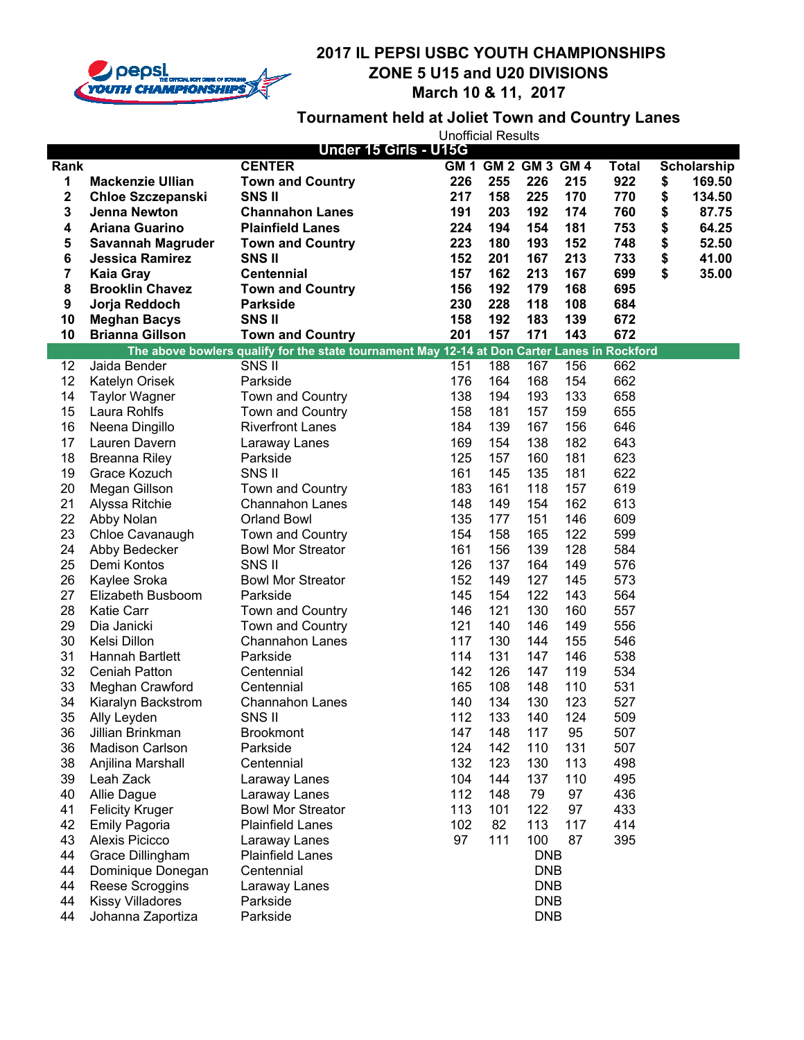

# **Tournament held at Joliet Town and Country Lanes**

| <b>CENTER</b><br>GM 1 GM 2 GM 3 GM 4<br>Rank<br>226<br>1<br><b>Mackenzie Ullian</b><br><b>Town and Country</b><br>226<br>255<br>215<br>2<br>158<br>225<br>170<br><b>SNSII</b><br>217<br><b>Chloe Szczepanski</b><br>3<br>191<br>203<br>192<br>174<br><b>Jenna Newton</b><br><b>Channahon Lanes</b> | Total<br>Scholarship<br>922<br>\$<br>169.50<br>770<br>\$<br>134.50<br>760<br>\$<br>87.75<br>\$<br>753<br>64.25 |
|----------------------------------------------------------------------------------------------------------------------------------------------------------------------------------------------------------------------------------------------------------------------------------------------------|----------------------------------------------------------------------------------------------------------------|
|                                                                                                                                                                                                                                                                                                    |                                                                                                                |
|                                                                                                                                                                                                                                                                                                    |                                                                                                                |
|                                                                                                                                                                                                                                                                                                    |                                                                                                                |
|                                                                                                                                                                                                                                                                                                    |                                                                                                                |
| 4<br>154<br>181<br><b>Ariana Guarino</b><br><b>Plainfield Lanes</b><br>224<br>194                                                                                                                                                                                                                  |                                                                                                                |
| 5<br>152<br>193<br>223<br>180<br><b>Savannah Magruder</b><br><b>Town and Country</b>                                                                                                                                                                                                               | \$<br>748<br>52.50                                                                                             |
| 6<br>152<br>201<br>167<br>213<br><b>Jessica Ramirez</b><br><b>SNSII</b>                                                                                                                                                                                                                            | \$<br>733<br>41.00                                                                                             |
| 7<br>162<br>213<br>167<br><b>Centennial</b><br>157<br><b>Kaia Gray</b>                                                                                                                                                                                                                             | \$<br>699<br>35.00                                                                                             |
| 8<br>179<br>168<br><b>Brooklin Chavez</b><br>156<br>192<br><b>Town and Country</b>                                                                                                                                                                                                                 | 695                                                                                                            |
| 9<br>228<br>118<br>108<br>Jorja Reddoch<br><b>Parkside</b><br>230                                                                                                                                                                                                                                  | 684                                                                                                            |
| 10<br><b>SNSII</b><br>192<br>183<br>139<br><b>Meghan Bacys</b><br>158                                                                                                                                                                                                                              | 672                                                                                                            |
| <b>Brianna Gillson</b><br>201<br>157<br>171<br>143<br>10<br><b>Town and Country</b>                                                                                                                                                                                                                | 672                                                                                                            |
| The above bowlers qualify for the state tournament May 12-14 at Don Carter Lanes in Rockford                                                                                                                                                                                                       |                                                                                                                |
| 12<br>Jaida Bender<br>SNS II<br>188<br>167<br>156<br>151                                                                                                                                                                                                                                           | 662                                                                                                            |
| 12<br>164<br>168<br>Parkside<br>176<br>154<br>Katelyn Orisek                                                                                                                                                                                                                                       | 662                                                                                                            |
| 14<br>133<br><b>Taylor Wagner</b><br>Town and Country<br>138<br>194<br>193                                                                                                                                                                                                                         | 658                                                                                                            |
| 15<br>159<br>Laura Rohlfs<br>Town and Country<br>158<br>181<br>157                                                                                                                                                                                                                                 | 655                                                                                                            |
| 16<br>167<br>156<br>Neena Dingillo<br><b>Riverfront Lanes</b><br>184<br>139                                                                                                                                                                                                                        | 646                                                                                                            |
| 17<br>182<br>Lauren Davern<br>169<br>154<br>138<br>Laraway Lanes                                                                                                                                                                                                                                   | 643                                                                                                            |
| 18<br>160<br>181<br>125<br>157<br><b>Breanna Riley</b><br>Parkside                                                                                                                                                                                                                                 | 623                                                                                                            |
| 19<br>161<br>145<br>135<br>181<br>Grace Kozuch<br>SNS II                                                                                                                                                                                                                                           | 622                                                                                                            |
| 20<br>118<br>157<br>Megan Gillson<br>Town and Country<br>183<br>161                                                                                                                                                                                                                                | 619                                                                                                            |
| 162<br>21<br>154<br>Alyssa Ritchie<br><b>Channahon Lanes</b><br>148<br>149                                                                                                                                                                                                                         | 613                                                                                                            |
| 22<br>151<br>146<br>Abby Nolan<br><b>Orland Bowl</b><br>135<br>177                                                                                                                                                                                                                                 | 609                                                                                                            |
| 122<br>23<br>165<br>Chloe Cavanaugh<br>Town and Country<br>154<br>158                                                                                                                                                                                                                              | 599                                                                                                            |
| 24<br>156<br>139<br>128<br>Abby Bedecker<br><b>Bowl Mor Streator</b><br>161                                                                                                                                                                                                                        | 584                                                                                                            |
| 25<br>137<br>Demi Kontos<br>SNS II<br>126<br>164<br>149                                                                                                                                                                                                                                            | 576                                                                                                            |
| 26<br>127<br>145<br>Kaylee Sroka<br><b>Bowl Mor Streator</b><br>152<br>149                                                                                                                                                                                                                         | 573                                                                                                            |
| 27<br>122<br>143<br>145<br>154<br>Elizabeth Busboom<br>Parkside                                                                                                                                                                                                                                    | 564                                                                                                            |
| 28<br>121<br>130<br>160<br><b>Katie Carr</b><br>146<br>Town and Country                                                                                                                                                                                                                            | 557                                                                                                            |
| 29<br>146<br>149<br>Dia Janicki<br>Town and Country<br>121<br>140                                                                                                                                                                                                                                  | 556                                                                                                            |
| 30<br>Kelsi Dillon<br><b>Channahon Lanes</b><br>117<br>130<br>144<br>155                                                                                                                                                                                                                           | 546                                                                                                            |
| 31<br>131<br>114<br>147<br>146<br>Hannah Bartlett<br>Parkside                                                                                                                                                                                                                                      | 538                                                                                                            |
| 32<br>142<br>126<br>147<br>119<br><b>Ceniah Patton</b><br>Centennial                                                                                                                                                                                                                               | 534                                                                                                            |
| 33<br>165<br>108<br>148<br>110<br>Meghan Crawford<br>Centennial                                                                                                                                                                                                                                    | 531                                                                                                            |
| 34<br>140<br>134<br>130<br>123<br>Kiaralyn Backstrom<br><b>Channahon Lanes</b>                                                                                                                                                                                                                     | 527                                                                                                            |
| 35<br>112<br>133<br>124<br>140<br>Ally Leyden<br>SNS II                                                                                                                                                                                                                                            | 509                                                                                                            |
| Brookmont<br>117<br>36<br>Jillian Brinkman<br>147<br>148<br>95                                                                                                                                                                                                                                     | 507                                                                                                            |
| 36<br>110<br>131<br><b>Madison Carlson</b><br>Parkside<br>124<br>142                                                                                                                                                                                                                               | 507                                                                                                            |
| 113<br>38<br>132<br>123<br>130<br>Anjilina Marshall<br>Centennial                                                                                                                                                                                                                                  | 498                                                                                                            |
| 39<br>104<br>144<br>137<br>110<br>Leah Zack<br>Laraway Lanes                                                                                                                                                                                                                                       | 495                                                                                                            |
| 40<br>112<br>148<br>79<br>97<br>Allie Dague<br>Laraway Lanes                                                                                                                                                                                                                                       | 436                                                                                                            |
| 41<br>113<br>122<br>97<br><b>Felicity Kruger</b><br><b>Bowl Mor Streator</b><br>101                                                                                                                                                                                                                | 433                                                                                                            |
| 42<br>82<br>113<br>117<br><b>Emily Pagoria</b><br><b>Plainfield Lanes</b><br>102                                                                                                                                                                                                                   | 414                                                                                                            |
| 43<br>Alexis Picicco<br>97<br>111<br>100<br>87<br>Laraway Lanes<br>44<br><b>DNB</b>                                                                                                                                                                                                                | 395                                                                                                            |
| Grace Dillingham<br><b>Plainfield Lanes</b><br>44<br>Dominique Donegan<br>Centennial<br><b>DNB</b>                                                                                                                                                                                                 |                                                                                                                |
| 44<br>Reese Scroggins<br><b>DNB</b><br>Laraway Lanes                                                                                                                                                                                                                                               |                                                                                                                |
| 44<br><b>Kissy Villadores</b><br><b>DNB</b><br>Parkside                                                                                                                                                                                                                                            |                                                                                                                |
| 44<br><b>DNB</b><br>Johanna Zaportiza<br>Parkside                                                                                                                                                                                                                                                  |                                                                                                                |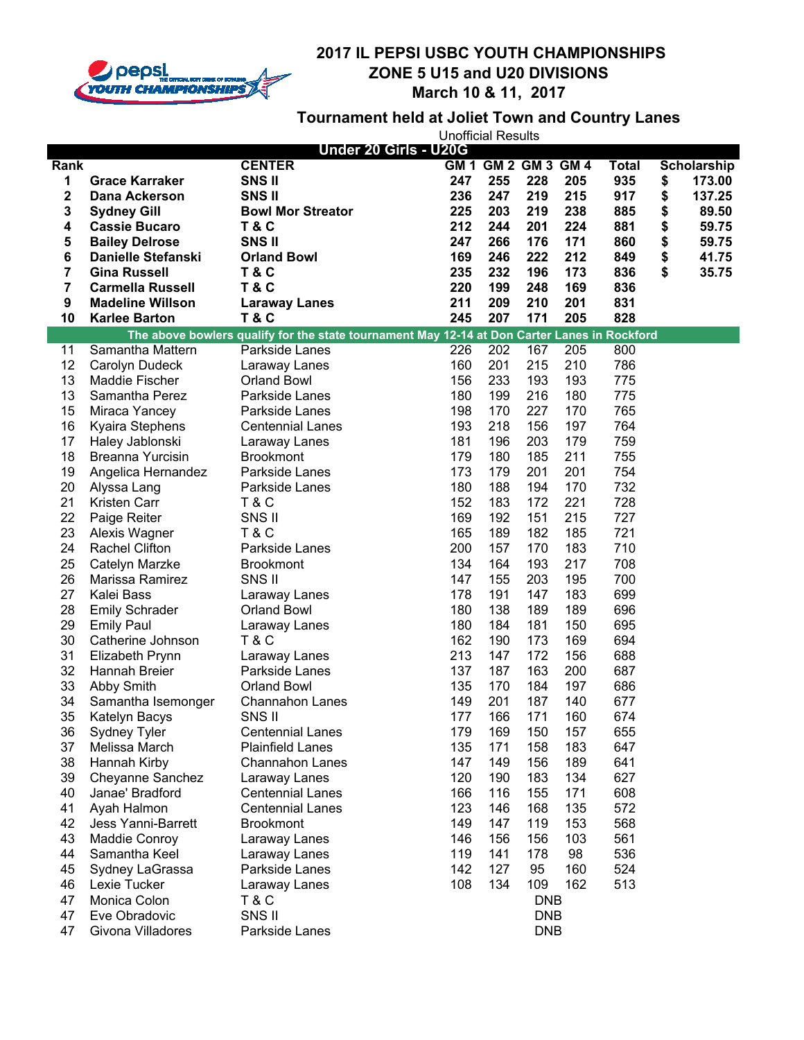

# **Tournament held at Joliet Town and Country Lanes**

| Under 20 Girls - U20G |                                        |                                                                                              |            |                     |            |            |            |    |                    |
|-----------------------|----------------------------------------|----------------------------------------------------------------------------------------------|------------|---------------------|------------|------------|------------|----|--------------------|
| Rank                  |                                        | <b>CENTER</b>                                                                                |            | GM 1 GM 2 GM 3 GM 4 |            |            | Total      |    | <b>Scholarship</b> |
| 1                     | <b>Grace Karraker</b>                  | <b>SNSII</b>                                                                                 | 247        | 255                 | 228        | 205        | 935        | \$ | 173.00             |
| $\mathbf 2$           | <b>Dana Ackerson</b>                   | <b>SNSII</b>                                                                                 | 236        | 247                 | 219        | 215        | 917        | \$ | 137.25             |
| 3                     | <b>Sydney Gill</b>                     | <b>Bowl Mor Streator</b>                                                                     | 225        | 203                 | 219        | 238        | 885        | \$ | 89.50              |
| 4                     | <b>Cassie Bucaro</b>                   | <b>T&amp;C</b>                                                                               | 212        | 244                 | 201        | 224        | 881        | \$ | 59.75              |
| 5                     | <b>Bailey Delrose</b>                  | SNS <sub>II</sub>                                                                            | 247        | 266                 | 176        | 171        | 860        | \$ | 59.75              |
| 6                     | <b>Danielle Stefanski</b>              | <b>Orland Bowl</b>                                                                           | 169        | 246                 | 222        | 212        | 849        | \$ | 41.75              |
| 7                     | <b>Gina Russell</b>                    | <b>T&amp;C</b>                                                                               | 235        | 232                 | 196        | 173        | 836        | \$ | 35.75              |
| 7                     | <b>Carmella Russell</b>                | <b>T&amp;C</b>                                                                               | 220        | 199                 | 248        | 169        | 836        |    |                    |
| 9                     | <b>Madeline Willson</b>                | <b>Laraway Lanes</b>                                                                         | 211        | 209                 | 210        | 201        | 831        |    |                    |
| 10                    | <b>Karlee Barton</b>                   | <b>T&amp;C</b>                                                                               | 245        | 207                 | 171        | 205        | 828        |    |                    |
|                       |                                        | The above bowlers qualify for the state tournament May 12-14 at Don Carter Lanes in Rockford |            |                     |            |            |            |    |                    |
| 11                    | Samantha Mattern                       | Parkside Lanes                                                                               | 226        | 202                 | 167        | 205        | 800        |    |                    |
| 12                    | Carolyn Dudeck                         | Laraway Lanes                                                                                | 160        | 201                 | 215        | 210        | 786        |    |                    |
| 13                    | Maddie Fischer                         | <b>Orland Bowl</b>                                                                           | 156        | 233                 | 193        | 193        | 775        |    |                    |
| 13                    | Samantha Perez                         | Parkside Lanes                                                                               | 180        | 199                 | 216        | 180        | 775        |    |                    |
| 15                    | Miraca Yancey                          | Parkside Lanes                                                                               | 198        | 170                 | 227        | 170        | 765        |    |                    |
| 16                    | Kyaira Stephens                        | <b>Centennial Lanes</b>                                                                      | 193        | 218                 | 156        | 197        | 764        |    |                    |
| 17                    | Haley Jablonski                        | Laraway Lanes                                                                                | 181        | 196                 | 203        | 179        | 759        |    |                    |
| 18                    | Breanna Yurcisin                       | <b>Brookmont</b>                                                                             | 179        | 180                 | 185        | 211        | 755        |    |                    |
| 19                    | Angelica Hernandez                     | Parkside Lanes                                                                               | 173        | 179                 | 201        | 201        | 754        |    |                    |
| 20                    | Alyssa Lang                            | Parkside Lanes                                                                               | 180        | 188                 | 194        | 170        | 732        |    |                    |
| 21                    | Kristen Carr                           | <b>T&amp;C</b>                                                                               | 152        | 183                 | 172        | 221        | 728        |    |                    |
| 22                    | Paige Reiter                           | SNS II                                                                                       | 169        | 192                 | 151        | 215        | 727        |    |                    |
| 23                    | Alexis Wagner                          | <b>T&amp;C</b>                                                                               | 165        | 189                 | 182        | 185        | 721        |    |                    |
| 24                    | <b>Rachel Clifton</b>                  | Parkside Lanes                                                                               | 200        | 157                 | 170        | 183        | 710        |    |                    |
| 25                    | Catelyn Marzke                         | <b>Brookmont</b>                                                                             | 134        | 164                 | 193        | 217        | 708        |    |                    |
| 26                    | Marissa Ramirez                        | SNS II                                                                                       | 147        | 155                 | 203        | 195        | 700        |    |                    |
| 27                    | Kalei Bass                             | Laraway Lanes                                                                                | 178        | 191                 | 147        | 183        | 699        |    |                    |
| 28                    | <b>Emily Schrader</b>                  | <b>Orland Bowl</b>                                                                           | 180        | 138                 | 189        | 189        | 696        |    |                    |
| 29<br>30              | <b>Emily Paul</b><br>Catherine Johnson | Laraway Lanes<br><b>T&amp;C</b>                                                              | 180<br>162 | 184<br>190          | 181<br>173 | 150<br>169 | 695<br>694 |    |                    |
| 31                    | Elizabeth Prynn                        | Laraway Lanes                                                                                | 213        | 147                 | 172        | 156        | 688        |    |                    |
| 32                    | Hannah Breier                          | Parkside Lanes                                                                               | 137        | 187                 | 163        | 200        | 687        |    |                    |
| 33                    | Abby Smith                             | <b>Orland Bowl</b>                                                                           | 135        | 170                 | 184        | 197        | 686        |    |                    |
| 34                    | Samantha Isemonger                     | <b>Channahon Lanes</b>                                                                       | 149        | 201                 | 187        | 140        | 677        |    |                    |
| 35                    | Katelyn Bacys                          | SNS II                                                                                       | 177        | 166                 | 171        | 160        | 674        |    |                    |
| 36                    | Sydney Tyler                           | <b>Centennial Lanes</b>                                                                      | 179        | 169                 | 150        | 157        | 655        |    |                    |
| 37                    | Melissa March                          | <b>Plainfield Lanes</b>                                                                      | 135        | 171                 | 158        | 183        | 647        |    |                    |
| 38                    | Hannah Kirby                           | <b>Channahon Lanes</b>                                                                       | 147        | 149                 | 156        | 189        | 641        |    |                    |
| 39                    | Cheyanne Sanchez                       | Laraway Lanes                                                                                | 120        | 190                 | 183        | 134        | 627        |    |                    |
| 40                    | Janae' Bradford                        | <b>Centennial Lanes</b>                                                                      | 166        | 116                 | 155        | 171        | 608        |    |                    |
| 41                    | Ayah Halmon                            | <b>Centennial Lanes</b>                                                                      | 123        | 146                 | 168        | 135        | 572        |    |                    |
| 42                    | <b>Jess Yanni-Barrett</b>              | <b>Brookmont</b>                                                                             | 149        | 147                 | 119        | 153        | 568        |    |                    |
| 43                    | Maddie Conroy                          | Laraway Lanes                                                                                | 146        | 156                 | 156        | 103        | 561        |    |                    |
| 44                    | Samantha Keel                          | Laraway Lanes                                                                                | 119        | 141                 | 178        | 98         | 536        |    |                    |
| 45                    | Sydney LaGrassa                        | Parkside Lanes                                                                               | 142        | 127                 | 95         | 160        | 524        |    |                    |
| 46                    | Lexie Tucker                           | Laraway Lanes                                                                                | 108        | 134                 | 109        | 162        | 513        |    |                    |
| 47                    | Monica Colon                           | <b>T&amp;C</b>                                                                               |            |                     | <b>DNB</b> |            |            |    |                    |
| 47                    | Eve Obradovic                          | SNS II                                                                                       |            |                     | <b>DNB</b> |            |            |    |                    |
| 47                    | Givona Villadores                      | Parkside Lanes                                                                               |            |                     | <b>DNB</b> |            |            |    |                    |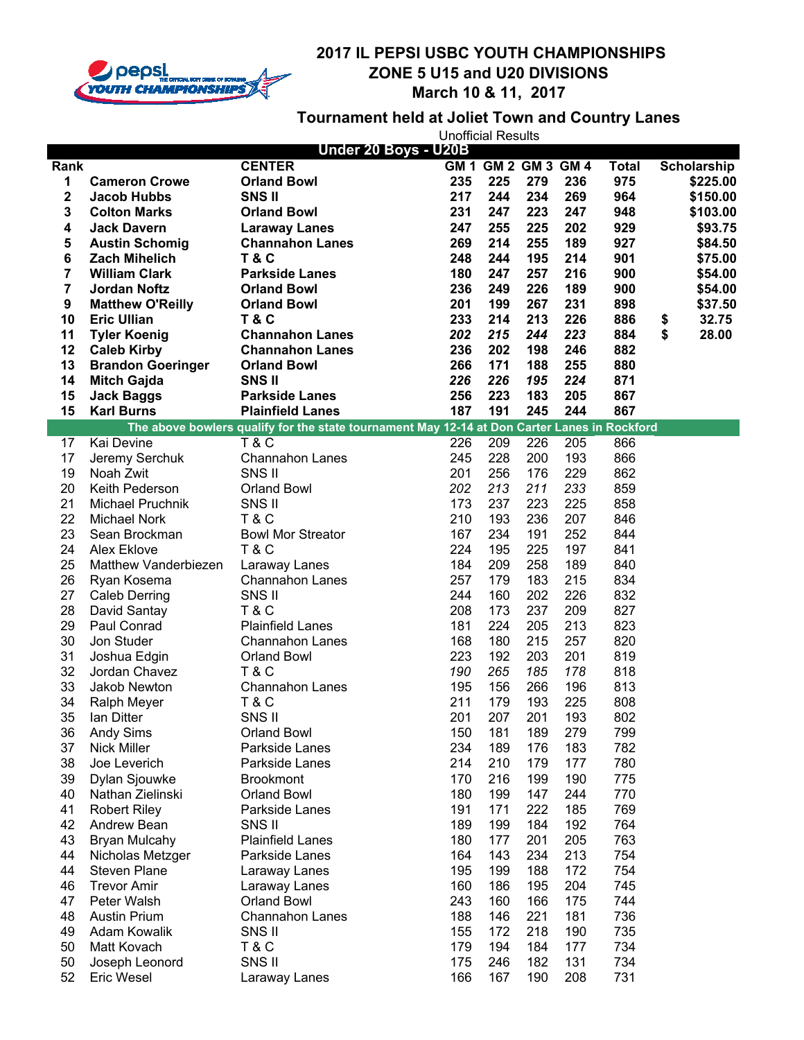

### **Tournament held at Joliet Town and Country Lanes**

| Under 20 Boys - U20B    |                          |                                                                                              |     |                     |     |     |              |             |
|-------------------------|--------------------------|----------------------------------------------------------------------------------------------|-----|---------------------|-----|-----|--------------|-------------|
| Rank                    |                          | <b>CENTER</b>                                                                                |     | GM 1 GM 2 GM 3 GM 4 |     |     | <b>Total</b> | Scholarship |
| 1                       | <b>Cameron Crowe</b>     | <b>Orland Bowl</b>                                                                           | 235 | 225                 | 279 | 236 | 975          | \$225.00    |
| $\overline{\mathbf{c}}$ | <b>Jacob Hubbs</b>       | <b>SNSII</b>                                                                                 | 217 | 244                 | 234 | 269 | 964          | \$150.00    |
| 3                       | <b>Colton Marks</b>      | <b>Orland Bowl</b>                                                                           | 231 | 247                 | 223 | 247 | 948          | \$103.00    |
| 4                       | <b>Jack Davern</b>       | <b>Laraway Lanes</b>                                                                         | 247 | 255                 | 225 | 202 | 929          | \$93.75     |
| 5                       | <b>Austin Schomig</b>    | <b>Channahon Lanes</b>                                                                       | 269 | 214                 | 255 | 189 | 927          | \$84.50     |
| 6                       | <b>Zach Mihelich</b>     | <b>T&amp;C</b>                                                                               | 248 | 244                 | 195 | 214 | 901          | \$75.00     |
| 7                       | <b>William Clark</b>     | <b>Parkside Lanes</b>                                                                        | 180 | 247                 | 257 | 216 | 900          | \$54.00     |
| 7                       | <b>Jordan Noftz</b>      | <b>Orland Bowl</b>                                                                           | 236 | 249                 | 226 | 189 | 900          | \$54.00     |
| 9                       | <b>Matthew O'Reilly</b>  | <b>Orland Bowl</b>                                                                           | 201 | 199                 | 267 | 231 | 898          | \$37.50     |
| 10                      | <b>Eric Ullian</b>       | <b>T&amp;C</b>                                                                               | 233 | 214                 | 213 | 226 | 886          | \$<br>32.75 |
| 11                      | <b>Tyler Koenig</b>      | <b>Channahon Lanes</b>                                                                       | 202 | 215                 | 244 | 223 | 884          | \$<br>28.00 |
| 12                      | <b>Caleb Kirby</b>       | <b>Channahon Lanes</b>                                                                       | 236 | 202                 | 198 | 246 | 882          |             |
| 13                      | <b>Brandon Goeringer</b> | <b>Orland Bowl</b>                                                                           | 266 | 171                 | 188 | 255 | 880          |             |
| 14                      | <b>Mitch Gajda</b>       | <b>SNSII</b>                                                                                 | 226 | 226                 | 195 | 224 | 871          |             |
| 15                      | <b>Jack Baggs</b>        | <b>Parkside Lanes</b>                                                                        | 256 | 223                 | 183 | 205 | 867          |             |
| 15                      | <b>Karl Burns</b>        | <b>Plainfield Lanes</b>                                                                      | 187 | 191                 | 245 | 244 | 867          |             |
|                         |                          | The above bowlers qualify for the state tournament May 12-14 at Don Carter Lanes in Rockford |     |                     |     |     |              |             |
| 17                      | Kai Devine               | <b>T&amp;C</b>                                                                               | 226 | 209                 | 226 | 205 | 866          |             |
| 17                      | Jeremy Serchuk           | <b>Channahon Lanes</b>                                                                       | 245 | 228                 | 200 | 193 | 866          |             |
| 19                      | Noah Zwit                | SNS II                                                                                       | 201 | 256                 | 176 | 229 | 862          |             |
| 20                      | Keith Pederson           | <b>Orland Bowl</b>                                                                           | 202 | 213                 | 211 | 233 | 859          |             |
| 21                      | Michael Pruchnik         | SNS II                                                                                       | 173 | 237                 | 223 | 225 | 858          |             |
| 22                      | <b>Michael Nork</b>      | <b>T&amp;C</b>                                                                               | 210 | 193                 | 236 | 207 | 846          |             |
| 23                      | Sean Brockman            | <b>Bowl Mor Streator</b>                                                                     | 167 | 234                 | 191 | 252 | 844          |             |
| 24                      | Alex Eklove              | <b>T&amp;C</b>                                                                               | 224 | 195                 | 225 | 197 | 841          |             |
| 25                      | Matthew Vanderbiezen     | Laraway Lanes                                                                                | 184 | 209                 | 258 | 189 | 840          |             |
| 26                      | Ryan Kosema              | <b>Channahon Lanes</b>                                                                       | 257 | 179                 | 183 | 215 | 834          |             |
| 27                      | Caleb Derring            | SNS II                                                                                       | 244 | 160                 | 202 | 226 | 832          |             |
| 28                      | David Santay             | <b>T&amp;C</b>                                                                               | 208 | 173                 | 237 | 209 | 827          |             |
| 29                      | Paul Conrad              | <b>Plainfield Lanes</b>                                                                      | 181 | 224                 | 205 | 213 | 823          |             |
| 30                      | Jon Studer               | <b>Channahon Lanes</b>                                                                       | 168 | 180                 | 215 | 257 | 820          |             |
| 31                      | Joshua Edgin             | Orland Bowl                                                                                  | 223 | 192                 | 203 | 201 | 819          |             |
| 32                      | Jordan Chavez            | <b>T&amp;C</b>                                                                               | 190 | 265                 | 185 | 178 | 818          |             |
| 33                      | Jakob Newton             | Channahon Lanes                                                                              | 195 | 156                 | 266 | 196 | 813          |             |
| 34                      | Ralph Meyer              | <b>T&amp;C</b>                                                                               | 211 | 179                 | 193 | 225 | 808          |             |
| 35                      | lan Ditter               | SNS II                                                                                       | 201 | 207                 | 201 | 193 | 802          |             |
| 36                      | <b>Andy Sims</b>         | Orland Bowl                                                                                  | 150 | 181                 | 189 | 279 | 799          |             |
| 37                      | <b>Nick Miller</b>       | Parkside Lanes                                                                               | 234 | 189                 | 176 | 183 | 782          |             |
| 38                      | Joe Leverich             | Parkside Lanes                                                                               | 214 | 210                 | 179 | 177 | 780          |             |
| 39                      | Dylan Sjouwke            | <b>Brookmont</b>                                                                             | 170 | 216                 | 199 | 190 | 775          |             |
| 40                      | Nathan Zielinski         | <b>Orland Bowl</b>                                                                           | 180 | 199                 | 147 | 244 | 770          |             |
| 41                      | <b>Robert Riley</b>      | Parkside Lanes                                                                               | 191 | 171                 | 222 | 185 | 769          |             |
| 42                      | Andrew Bean              | SNS II                                                                                       | 189 | 199                 | 184 | 192 | 764          |             |
| 43                      | <b>Bryan Mulcahy</b>     | <b>Plainfield Lanes</b>                                                                      | 180 | 177                 | 201 | 205 | 763          |             |
| 44                      | Nicholas Metzger         | Parkside Lanes                                                                               | 164 | 143                 | 234 | 213 | 754          |             |
| 44                      | <b>Steven Plane</b>      | Laraway Lanes                                                                                | 195 | 199                 | 188 | 172 | 754          |             |
| 46                      | <b>Trevor Amir</b>       | Laraway Lanes                                                                                | 160 | 186                 | 195 | 204 | 745          |             |
| 47                      | Peter Walsh              | <b>Orland Bowl</b>                                                                           | 243 | 160                 | 166 | 175 | 744          |             |
| 48                      | <b>Austin Prium</b>      | <b>Channahon Lanes</b>                                                                       | 188 | 146                 | 221 | 181 | 736          |             |
| 49                      | Adam Kowalik             | SNS II                                                                                       | 155 | 172                 | 218 | 190 | 735          |             |
| 50                      | Matt Kovach              | <b>T&amp;C</b>                                                                               | 179 | 194                 | 184 | 177 | 734          |             |
| 50                      | Joseph Leonord           | SNS II                                                                                       | 175 | 246                 | 182 | 131 | 734          |             |
| 52                      | Eric Wesel               | Laraway Lanes                                                                                | 166 | 167                 | 190 | 208 | 731          |             |